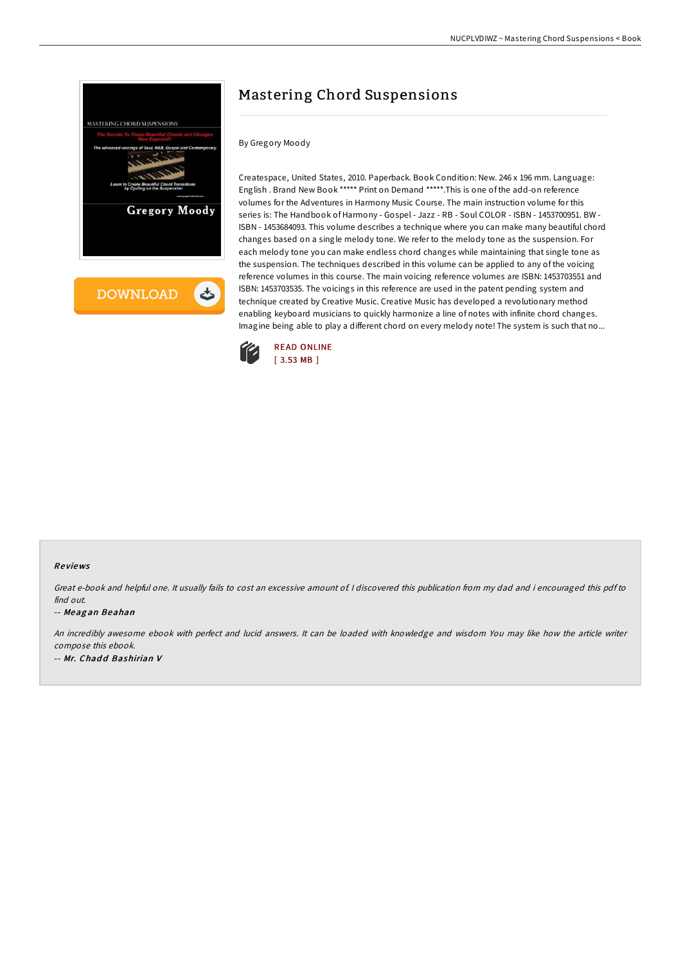

**DOWNLOAD** ٹ

# Mastering Chord Suspensions

### By Gregory Moody

Createspace, United States, 2010. Paperback. Book Condition: New. 246 x 196 mm. Language: English . Brand New Book \*\*\*\*\* Print on Demand \*\*\*\*\*.This is one of the add-on reference volumes for the Adventures in Harmony Music Course. The main instruction volume for this series is: The Handbook of Harmony - Gospel - Jazz - RB - Soul COLOR - ISBN - 1453700951. BW - ISBN - 1453684093. This volume describes a technique where you can make many beautiful chord changes based on a single melody tone. We refer to the melody tone as the suspension. For each melody tone you can make endless chord changes while maintaining that single tone as the suspension. The techniques described in this volume can be applied to any of the voicing reference volumes in this course. The main voicing reference volumes are ISBN: 1453703551 and ISBN: 1453703535. The voicings in this reference are used in the patent pending system and technique created by Creative Music. Creative Music has developed a revolutionary method enabling keyboard musicians to quickly harmonize a line of notes with infinite chord changes. Imagine being able to play a different chord on every melody note! The system is such that no...



#### Re views

Great e-book and helpful one. It usually fails to cost an excessive amount of. <sup>I</sup> discovered this publication from my dad and i encouraged this pdf to find out.

#### -- Meag an Beahan

An incredibly awesome ebook with perfect and lucid answers. It can be loaded with knowledge and wisdom You may like how the article writer compose this ebook. -- Mr. Chadd Bashirian V